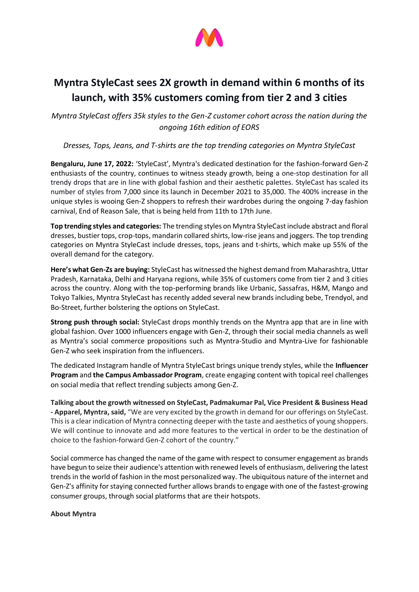

## **Myntra StyleCast sees 2X growth in demand within 6 months of its launch, with 35% customers coming from tier 2 and 3 cities**

*Myntra StyleCast offers 35k styles to the Gen-Z customer cohort across the nation during the ongoing 16th edition of EORS* 

## *Dresses, Tops, Jeans, and T-shirts are the top trending categories on Myntra StyleCast*

**Bengaluru, June 17, 2022:** 'StyleCast', Myntra's dedicated destination for the fashion-forward Gen-Z enthusiasts of the country, continues to witness steady growth, being a one-stop destination for all trendy drops that are in line with global fashion and their aesthetic palettes. StyleCast has scaled its number of styles from 7,000 since its launch in December 2021 to 35,000. The 400% increase in the unique styles is wooing Gen-Z shoppers to refresh their wardrobes during the ongoing 7-day fashion carnival, End of Reason Sale, that is being held from 11th to 17th June.

**Top trending styles and categories:** The trending styles on Myntra StyleCast include abstract and floral dresses, bustier tops, crop-tops, mandarin collared shirts, low-rise jeans and joggers. The top trending categories on Myntra StyleCast include dresses, tops, jeans and t-shirts, which make up 55% of the overall demand for the category.

**Here's what Gen-Zs are buying:** StyleCast has witnessed the highest demand from Maharashtra, Uttar Pradesh, Karnataka, Delhi and Haryana regions, while 35% of customers come from tier 2 and 3 cities across the country. Along with the top-performing brands like Urbanic, Sassafras, H&M, Mango and Tokyo Talkies, Myntra StyleCast has recently added several new brands including bebe, Trendyol, and Bo-Street, further bolstering the options on StyleCast.

**Strong push through social:** StyleCast drops monthly trends on the Myntra app that are in line with global fashion. Over 1000 influencers engage with Gen-Z, through their social media channels as well as Myntra's social commerce propositions such as Myntra-Studio and Myntra-Live for fashionable Gen-Z who seek inspiration from the influencers.

The dedicated Instagram handle of Myntra StyleCast brings unique trendy styles, while the **Influencer Program** and **the Campus Ambassador Program**, create engaging content with topical reel challenges on social media that reflect trending subjects among Gen-Z.

**Talking about the growth witnessed on StyleCast, Padmakumar Pal, Vice President & Business Head - Apparel, Myntra, said,** "We are very excited by the growth in demand for our offerings on StyleCast. This is a clear indication of Myntra connecting deeper with the taste and aesthetics of young shoppers. We will continue to innovate and add more features to the vertical in order to be the destination of choice to the fashion-forward Gen-Z cohort of the country."

Social commerce has changed the name of the game with respect to consumer engagement as brands have begun to seize their audience's attention with renewed levels of enthusiasm, delivering the latest trends in the world of fashion in the most personalized way. The ubiquitous nature of the internet and Gen-Z's affinity for staying connected further allows brands to engage with one of the fastest-growing consumer groups, through social platforms that are their hotspots.

**About Myntra**